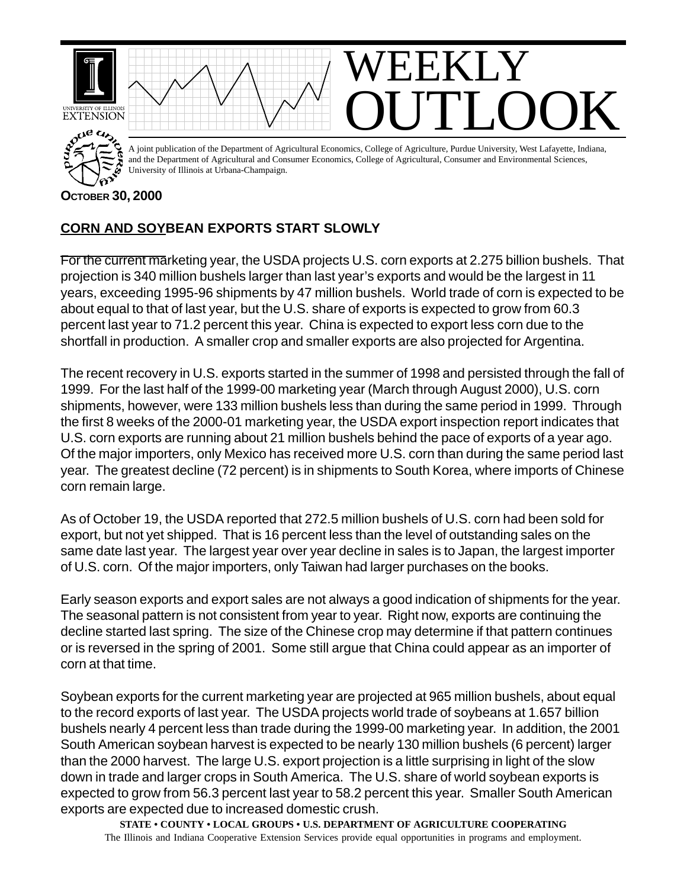

## **CORN AND SOYBEAN EXPORTS START SLOWLY**

For the current marketing year, the USDA projects U.S. corn exports at 2.275 billion bushels. That projection is 340 million bushels larger than last year's exports and would be the largest in 11 years, exceeding 1995-96 shipments by 47 million bushels. World trade of corn is expected to be about equal to that of last year, but the U.S. share of exports is expected to grow from 60.3 percent last year to 71.2 percent this year. China is expected to export less corn due to the shortfall in production. A smaller crop and smaller exports are also projected for Argentina.

The recent recovery in U.S. exports started in the summer of 1998 and persisted through the fall of 1999. For the last half of the 1999-00 marketing year (March through August 2000), U.S. corn shipments, however, were 133 million bushels less than during the same period in 1999. Through the first 8 weeks of the 2000-01 marketing year, the USDA export inspection report indicates that U.S. corn exports are running about 21 million bushels behind the pace of exports of a year ago. Of the major importers, only Mexico has received more U.S. corn than during the same period last year. The greatest decline (72 percent) is in shipments to South Korea, where imports of Chinese corn remain large.

As of October 19, the USDA reported that 272.5 million bushels of U.S. corn had been sold for export, but not yet shipped. That is 16 percent less than the level of outstanding sales on the same date last year. The largest year over year decline in sales is to Japan, the largest importer of U.S. corn. Of the major importers, only Taiwan had larger purchases on the books.

Early season exports and export sales are not always a good indication of shipments for the year. The seasonal pattern is not consistent from year to year. Right now, exports are continuing the decline started last spring. The size of the Chinese crop may determine if that pattern continues or is reversed in the spring of 2001. Some still argue that China could appear as an importer of corn at that time.

Soybean exports for the current marketing year are projected at 965 million bushels, about equal to the record exports of last year. The USDA projects world trade of soybeans at 1.657 billion bushels nearly 4 percent less than trade during the 1999-00 marketing year. In addition, the 2001 South American soybean harvest is expected to be nearly 130 million bushels (6 percent) larger than the 2000 harvest. The large U.S. export projection is a little surprising in light of the slow down in trade and larger crops in South America. The U.S. share of world soybean exports is expected to grow from 56.3 percent last year to 58.2 percent this year. Smaller South American exports are expected due to increased domestic crush.

**STATE • COUNTY • LOCAL GROUPS • U.S. DEPARTMENT OF AGRICULTURE COOPERATING** The Illinois and Indiana Cooperative Extension Services provide equal opportunities in programs and employment.